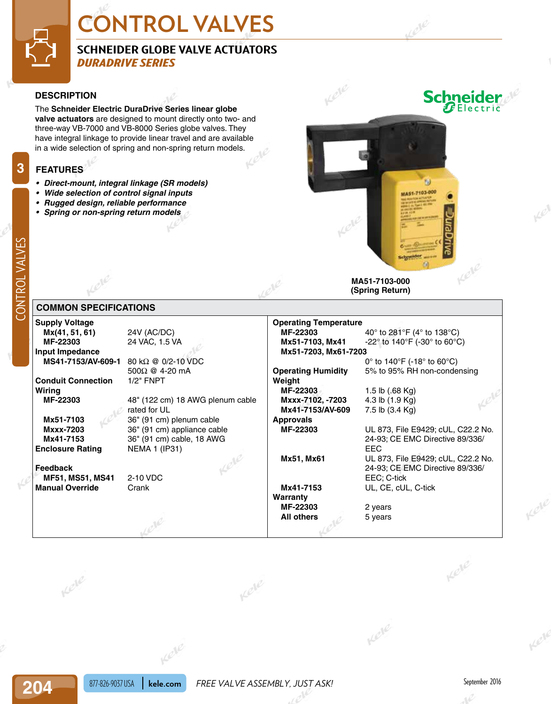# **CONTROL VALVES**

### **SCHNEIDER GLOBE VALVE ACTUATORS** *DURADRIVE SERIES*

#### **DESCRIPTION**

The **Schneider Electric DuraDrive Series linear globe valve actuators** are designed to mount directly onto two- and three-way VB-7000 and VB-8000 Series globe valves. They have integral linkage to provide linear travel and are available in a wide selection of spring and non-spring return models.

#### **FEATURES**

- *• Direct-mount, integral linkage (SR models)*
- *• Wide selection of control signal inputs*
- *• Rugged design, reliable performance*
- *• Spring or non-spring return models*



**(Spring Return)**

**MF-22303** 40° to 281°F (4° to 138°C)

#### **COMMON SPECIFICATIONS**

**204**<br>
204<br>
204<br>
204<br>
204<br>
204 **Supply Voltage Mx(41, 51, 61)** 24V (AC/DC)<br>**MF-22303** 24 VAC, 1.5 V 24 VAC, 1.5 VA **Input Impedance MS41-7153/AV-609-1** 80 kΩ @ 0/2-10 VDC 500Ω @ 4-20 mA **Conduit Connection** 1/2" FNPT **Wiring MF-22303** 48" (122 cm) 18 AWG plenum cable rated for UL **Mx51-7103** 36" (91 cm) plenum cable **Mxxx-7203** 36" (91 cm) appliance cable **Mx41-7153** 36" (91 cm) cable, 18 AWG **Enclosure Rating** NEMA 1 (IP31)

**Feedback MF51, MS51, MS41** 2-10 VDC **Manual Override** Crank

Kele

#### **Mx51-7103, Mx41** -22° to 140°F (-30° to 60°C) **Mx51-7203, Mx61-7203** 0° to 140°F (-18° to 60°C) **Operating Humidity** 5% to 95% RH non-condensing **Weight MF-22303** 1.5 lb (.68 Kg) **Mxxx-7102, -7203** 4.3 lb (1.9 Kg) **Mx41-7153/AV-609** 7.5 lb (3.4 Kg) **Approvals MF-22303** UL 873, File E9429; cUL, C22.2 No. EEC

**Warranty MF-22303** 2 years **All others** 5 years

**Operating Temperature**

24-93; CE EMC Directive 89/336/

**Mx51, Mx61** UL 873, File E9429; cUL, C22.2 No. 24-93; CE EMC Directive 89/336/ EEC; C-tick **Mx41-7153** UL, CE, cUL, C-tick

Kele

**3**

204

Kele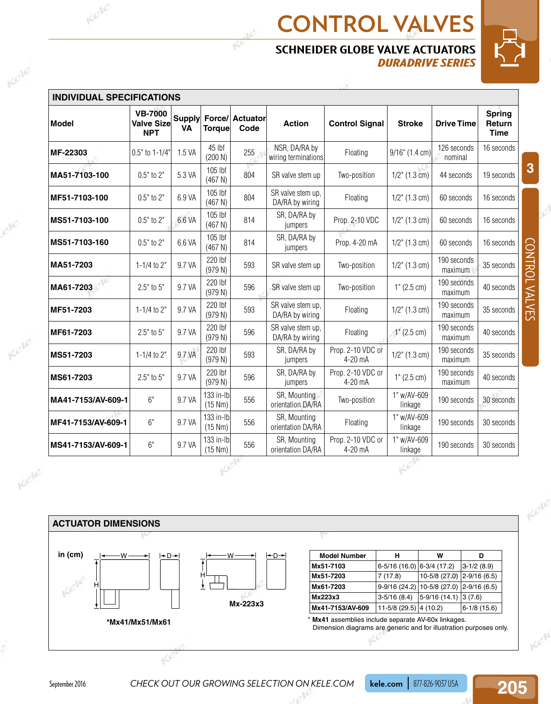## **CONTROL VALVES SCHNEIDER GLOBE VALVE ACTUATORS** *DURADRIVE SERIES*



CONTROL VALVES

CONTROL VALVES

**3**

|                                  |                                                   |        |                      | ۳                              |                                      | <b>SCHNEIDER GLOBE VALVE ACTUATORS</b> | <b>DURADRIVE SERIES</b> |                        |                                        |  |
|----------------------------------|---------------------------------------------------|--------|----------------------|--------------------------------|--------------------------------------|----------------------------------------|-------------------------|------------------------|----------------------------------------|--|
| <b>INDIVIDUAL SPECIFICATIONS</b> |                                                   |        |                      |                                |                                      |                                        |                         |                        |                                        |  |
| <b>Model</b>                     | <b>VB-7000</b><br><b>Valve Size</b><br><b>NPT</b> | VA     | Torque               | Supply Force/ Actuator<br>Code | <b>Action</b>                        | <b>Control Signal</b>                  | <b>Stroke</b>           | <b>Drive Time</b>      | <b>Spring</b><br>Return<br><b>Time</b> |  |
| MF-22303                         | 0.5" to 1-1/4"                                    | 1.5 VA | 45 lbf<br>(200 N)    | 255                            | NSR, DA/RA by<br>wiring terminations | Floating                               | $9/16$ " (1.4 cm)       | 126 seconds<br>nominal | 16 seconds                             |  |
| MA51-7103-100                    | $0.5"$ to $2"$                                    | 5.3 VA | 105 lbf<br>(467 N)   | 804                            | SR valve stem up                     | Two-position                           | $1/2$ " (1.3 cm)        | 44 seconds             | 19 seconds                             |  |
| MF51-7103-100                    | $0.5"$ to $2"$                                    | 6.9 VA | 105 lbf<br>(467 N)   | 804                            | SR valve stem up,<br>DA/RA by wiring | Floating                               | $1/2$ " (1.3 cm)        | 60 seconds             | 16 seconds                             |  |
| MS51-7103-100                    | $0.5"$ to $2"$                                    | 6.6 VA | 105 lbf<br>(467 N)   | 814                            | SR, DA/RA by<br>jumpers              | Prop. 2-10 VDC                         | $1/2$ " (1.3 cm)        | 60 seconds             | 16 seconds                             |  |
| MS51-7103-160                    | $0.5"$ to $2"$                                    | 6.6 VA | 105 lbf<br>(467 N)   | 814                            | SR, DA/RA by<br>jumpers              | Prop. 4-20 mA                          | $1/2$ " (1.3 cm)        | 60 seconds             | 16 seconds                             |  |
| MA51-7203                        | $1 - 1/4$ to $2"$                                 | 9.7 VA | 220 lbf<br>(979 N)   | 593                            | SR valve stem up                     | Two-position                           | $1/2$ " (1.3 cm)        | 190 seconds<br>maximum | 35 seconds                             |  |
| MA61-7203                        | $2.5"$ to $5"$                                    | 9.7 VA | 220 lbf<br>(979 N)   | 596                            | SR valve stem up                     | Two-position                           | 1" (2.5 cm)             | 190 seconds<br>maximum | 40 seconds                             |  |
| MF51-7203                        | 1-1/4 to 2"                                       | 9.7 VA | 220 lbf<br>(979 N)   | 593                            | SR valve stem up,<br>DA/RA by wiring | Floating                               | $1/2$ " (1.3 cm)        | 190 seconds<br>maximum | 35 seconds                             |  |
| MF61-7203                        | $2.5"$ to $5"$                                    | 9.7 VA | 220 lbf<br>(979 N)   | 596                            | SR valve stem up,<br>DA/RA by wiring | Floating                               | 1" (2.5 cm)             | 190 seconds<br>maximum | 40 seconds                             |  |
| MS51-7203                        | 1-1/4 to $2"$                                     | 9.7 VA | 220 lbf<br>(979 N)   | 593                            | SR, DA/RA by<br>jumpers              | Prop. 2-10 VDC or<br>4-20 mA           | $1/2$ " (1.3 cm)        | 190 seconds<br>maximum | 35 seconds                             |  |
| MS61-7203                        | $2.5"$ to $5"$                                    | 9.7 VA | 220 lbf<br>(979 N)   | 596                            | SR, DA/RA by<br>jumpers              | Prop. 2-10 VDC or<br>4-20 mA           | 1" (2.5 cm)             | 190 seconds<br>maximum | 40 seconds                             |  |
| MA41-7153/AV-609-1               | 6"                                                | 9.7 VA | 133 in-lb<br>(15 Nm) | 556                            | SR, Mounting<br>orientation DA/RA    | Two-position                           | 1" w/AV-609<br>linkage  | 190 seconds            | 30 seconds                             |  |
| MF41-7153/AV-609-1               | 6"                                                | 9.7 VA | 133 in-lb<br>(15 Nm) | 556                            | SR, Mounting<br>orientation DA/RA    | Floating                               | 1" w/AV-609<br>linkage  | 190 seconds            | 30 seconds                             |  |
| MS41-7153/AV-609-1               | 6"                                                | 9.7 VA | 133 in-lb<br>(15 Nm) | 556                            | SR, Mounting<br>orientation DA/RA    | Prop. 2-10 VDC or<br>4-20 mA           | 1" w/AV-609<br>linkage  | 190 seconds            | 30 seconds                             |  |



Kele

Kele

September 2016 **CHECK OUT OUR GROWING SELECTION ON KELE.COM kele.com** 877-826-9037 USA

**205**